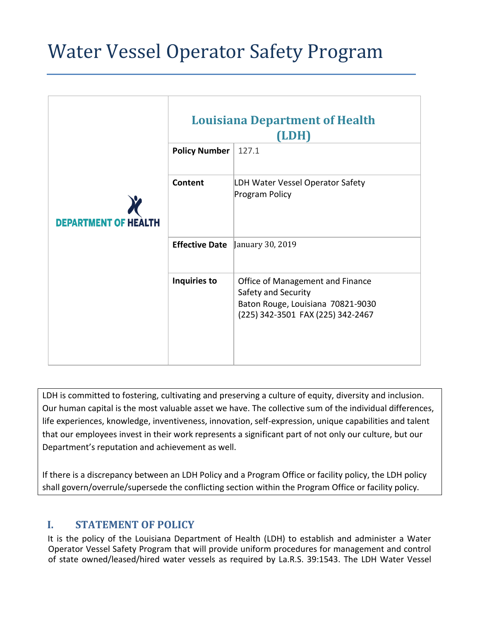# Water Vessel Operator Safety Program

|                             | <b>Louisiana Department of Health</b><br>(LDH) |                                                                                                                                   |
|-----------------------------|------------------------------------------------|-----------------------------------------------------------------------------------------------------------------------------------|
|                             | <b>Policy Number</b>                           | 127.1                                                                                                                             |
| <b>DEPARTMENT OF HEALTH</b> | Content                                        | LDH Water Vessel Operator Safety<br>Program Policy                                                                                |
|                             | <b>Effective Date</b>                          | January 30, 2019                                                                                                                  |
|                             | Inquiries to                                   | Office of Management and Finance<br>Safety and Security<br>Baton Rouge, Louisiana 70821-9030<br>(225) 342-3501 FAX (225) 342-2467 |

LDH is committed to fostering, cultivating and preserving a culture of equity, diversity and inclusion. Our human capital is the most valuable asset we have. The collective sum of the individual differences, life experiences, knowledge, inventiveness, innovation, self-expression, unique capabilities and talent that our employees invest in their work represents a significant part of not only our culture, but our Department's reputation and achievement as well.

If there is a discrepancy between an LDH Policy and a Program Office or facility policy, the LDH policy shall govern/overrule/supersede the conflicting section within the Program Office or facility policy.

# **I. STATEMENT OF POLICY**

It is the policy of the Louisiana Department of Health (LDH) to establish and administer a Water Operator Vessel Safety Program that will provide uniform procedures for management and control of state owned/leased/hired water vessels as required by La.R.S. 39:1543. The LDH Water Vessel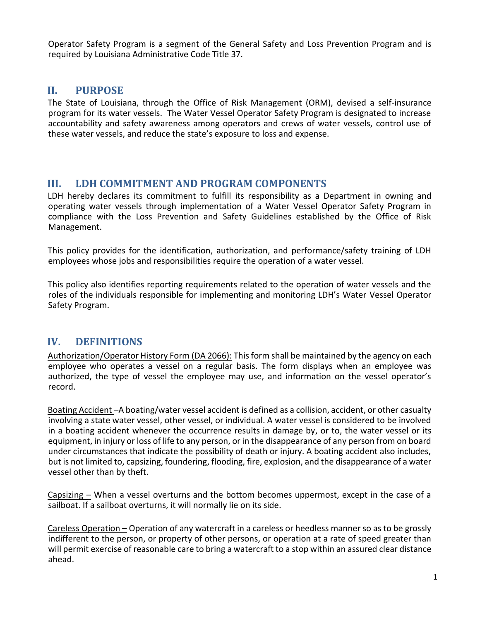Operator Safety Program is a segment of the General Safety and Loss Prevention Program and is required by Louisiana Administrative Code Title 37.

## **II. PURPOSE**

The State of Louisiana, through the Office of Risk Management (ORM), devised a self-insurance program for its water vessels. The Water Vessel Operator Safety Program is designated to increase accountability and safety awareness among operators and crews of water vessels, control use of these water vessels, and reduce the state's exposure to loss and expense.

#### **III. LDH COMMITMENT AND PROGRAM COMPONENTS**

LDH hereby declares its commitment to fulfill its responsibility as a Department in owning and operating water vessels through implementation of a Water Vessel Operator Safety Program in compliance with the Loss Prevention and Safety Guidelines established by the Office of Risk Management.

This policy provides for the identification, authorization, and performance/safety training of LDH employees whose jobs and responsibilities require the operation of a water vessel.

This policy also identifies reporting requirements related to the operation of water vessels and the roles of the individuals responsible for implementing and monitoring LDH's Water Vessel Operator Safety Program.

## **IV. DEFINITIONS**

Authorization/Operator History Form (DA 2066): This form shall be maintained by the agency on each employee who operates a vessel on a regular basis. The form displays when an employee was authorized, the type of vessel the employee may use, and information on the vessel operator's record.

Boating Accident –A boating/water vessel accident is defined as a collision, accident, or other casualty involving a state water vessel, other vessel, or individual. A water vessel is considered to be involved in a boating accident whenever the occurrence results in damage by, or to, the water vessel or its equipment, in injury or loss of life to any person, or in the disappearance of any person from on board under circumstances that indicate the possibility of death or injury. A boating accident also includes, but is not limited to, capsizing, foundering, flooding, fire, explosion, and the disappearance of a water vessel other than by theft.

Capsizing – When a vessel overturns and the bottom becomes uppermost, except in the case of a sailboat. If a sailboat overturns, it will normally lie on its side.

Careless Operation – Operation of any watercraft in a careless or heedless manner so as to be grossly indifferent to the person, or property of other persons, or operation at a rate of speed greater than will permit exercise of reasonable care to bring a watercraft to a stop within an assured clear distance ahead.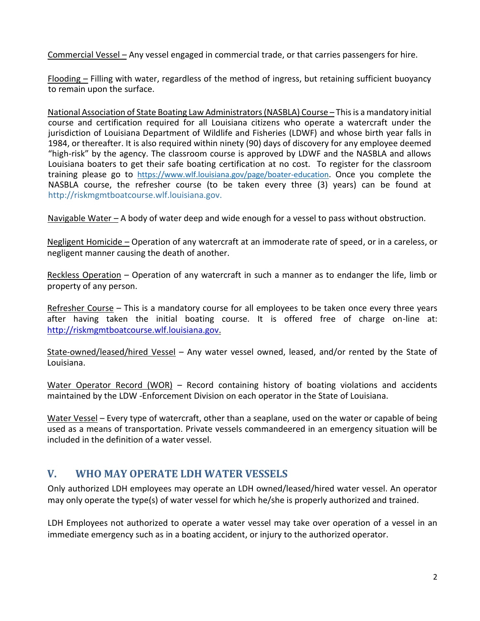Commercial Vessel – Any vessel engaged in commercial trade, or that carries passengers for hire.

Flooding – Filling with water, regardless of the method of ingress, but retaining sufficient buoyancy to remain upon the surface.

National Association of State Boating Law Administrators (NASBLA) Course – This is a mandatory initial course and certification required for all Louisiana citizens who operate a watercraft under the jurisdiction of Louisiana Department of Wildlife and Fisheries (LDWF) and whose birth year falls in 1984, or thereafter. It is also required within ninety (90) days of discovery for any employee deemed "high-risk" by the agency. The classroom course is approved by LDWF and the NASBLA and allows Louisiana boaters to get their safe boating certification at no cost. To register for the classroom training please go to <https://www.wlf.louisiana.gov/page/boater-education>. Once you complete the NASBLA course, the refresher course (to be taken every three (3) years) can be found at http://riskmgmtboatcourse.wlf.louisiana.gov.

Navigable Water – A body of water deep and wide enough for a vessel to pass without obstruction.

Negligent Homicide – Operation of any watercraft at an immoderate rate of speed, or in a careless, or negligent manner causing the death of another.

Reckless Operation – Operation of any watercraft in such a manner as to endanger the life, limb or property of any person.

Refresher Course – This is a mandatory course for all employees to be taken once every three years after having taken the initial boating course. It is offered free of charge on-line at: [http://riskmgmtboatcourse.wlf.louisiana.gov.](http://riskmgmtboatcourse.wlf.louisiana.gov/)

State-owned/leased/hired Vessel – Any water vessel owned, leased, and/or rented by the State of Louisiana.

Water Operator Record (WOR) - Record containing history of boating violations and accidents maintained by the LDW -Enforcement Division on each operator in the State of Louisiana.

Water Vessel – Every type of watercraft, other than a seaplane, used on the water or capable of being used as a means of transportation. Private vessels commandeered in an emergency situation will be included in the definition of a water vessel.

## **V. WHO MAY OPERATE LDH WATER VESSELS**

Only authorized LDH employees may operate an LDH owned/leased/hired water vessel. An operator may only operate the type(s) of water vessel for which he/she is properly authorized and trained.

LDH Employees not authorized to operate a water vessel may take over operation of a vessel in an immediate emergency such as in a boating accident, or injury to the authorized operator.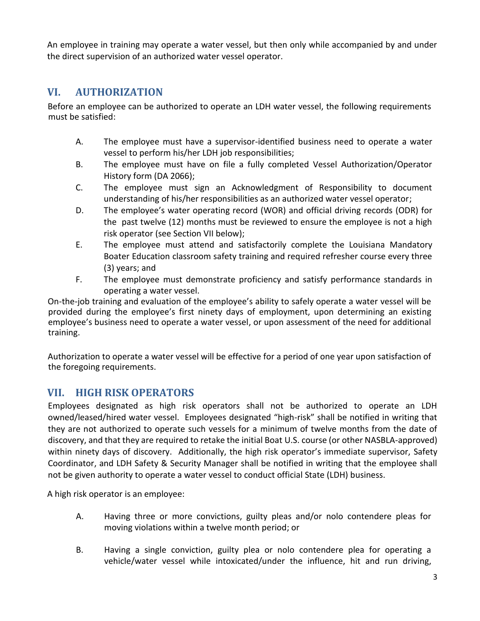An employee in training may operate a water vessel, but then only while accompanied by and under the direct supervision of an authorized water vessel operator.

# **VI. AUTHORIZATION**

Before an employee can be authorized to operate an LDH water vessel, the following requirements must be satisfied:

- A. The employee must have a supervisor-identified business need to operate a water vessel to perform his/her LDH job responsibilities;
- B. The employee must have on file a fully completed Vessel Authorization/Operator History form (DA 2066);
- C. The employee must sign an Acknowledgment of Responsibility to document understanding of his/her responsibilities as an authorized water vessel operator;
- D. The employee's water operating record (WOR) and official driving records (ODR) for the past twelve (12) months must be reviewed to ensure the employee is not a high risk operator (see Section VII below);
- E. The employee must attend and satisfactorily complete the Louisiana Mandatory Boater Education classroom safety training and required refresher course every three (3) years; and
- F. The employee must demonstrate proficiency and satisfy performance standards in operating a water vessel.

On-the-job training and evaluation of the employee's ability to safely operate a water vessel will be provided during the employee's first ninety days of employment, upon determining an existing employee's business need to operate a water vessel, or upon assessment of the need for additional training.

Authorization to operate a water vessel will be effective for a period of one year upon satisfaction of the foregoing requirements.

# **VII. HIGH RISK OPERATORS**

Employees designated as high risk operators shall not be authorized to operate an LDH owned/leased/hired water vessel. Employees designated "high-risk" shall be notified in writing that they are not authorized to operate such vessels for a minimum of twelve months from the date of discovery, and that they are required to retake the initial Boat U.S. course (or other NASBLA-approved) within ninety days of discovery. Additionally, the high risk operator's immediate supervisor, Safety Coordinator, and LDH Safety & Security Manager shall be notified in writing that the employee shall not be given authority to operate a water vessel to conduct official State (LDH) business.

A high risk operator is an employee:

- A. Having three or more convictions, guilty pleas and/or nolo contendere pleas for moving violations within a twelve month period; or
- B. Having a single conviction, guilty plea or nolo contendere plea for operating a vehicle/water vessel while intoxicated/under the influence, hit and run driving,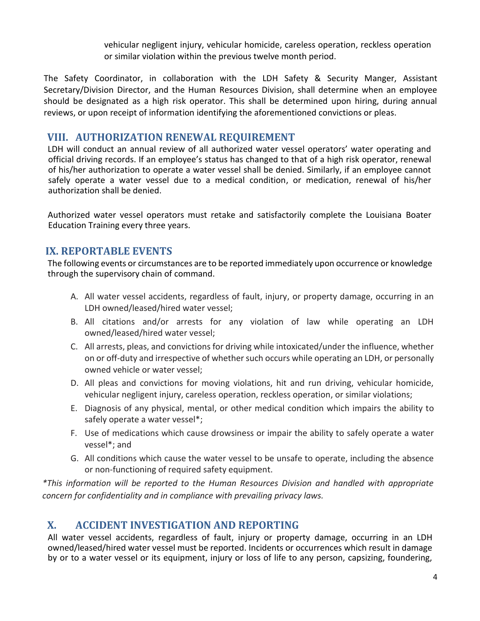vehicular negligent injury, vehicular homicide, careless operation, reckless operation or similar violation within the previous twelve month period.

The Safety Coordinator, in collaboration with the LDH Safety & Security Manger, Assistant Secretary/Division Director, and the Human Resources Division, shall determine when an employee should be designated as a high risk operator. This shall be determined upon hiring, during annual reviews, or upon receipt of information identifying the aforementioned convictions or pleas.

#### **VIII. AUTHORIZATION RENEWAL REQUIREMENT**

LDH will conduct an annual review of all authorized water vessel operators' water operating and official driving records. If an employee's status has changed to that of a high risk operator, renewal of his/her authorization to operate a water vessel shall be denied. Similarly, if an employee cannot safely operate a water vessel due to a medical condition, or medication, renewal of his/her authorization shall be denied.

Authorized water vessel operators must retake and satisfactorily complete the Louisiana Boater Education Training every three years.

#### **IX. REPORTABLE EVENTS**

The following events or circumstances are to be reported immediately upon occurrence or knowledge through the supervisory chain of command.

- A. All water vessel accidents, regardless of fault, injury, or property damage, occurring in an LDH owned/leased/hired water vessel;
- B. All citations and/or arrests for any violation of law while operating an LDH owned/leased/hired water vessel;
- C. All arrests, pleas, and convictions for driving while intoxicated/under the influence, whether on or off-duty and irrespective of whether such occurs while operating an LDH, or personally owned vehicle or water vessel;
- D. All pleas and convictions for moving violations, hit and run driving, vehicular homicide, vehicular negligent injury, careless operation, reckless operation, or similar violations;
- E. Diagnosis of any physical, mental, or other medical condition which impairs the ability to safely operate a water vessel\*;
- F. Use of medications which cause drowsiness or impair the ability to safely operate a water vessel\*; and
- G. All conditions which cause the water vessel to be unsafe to operate, including the absence or non-functioning of required safety equipment.

*\*This information will be reported to the Human Resources Division and handled with appropriate concern for confidentiality and in compliance with prevailing privacy laws.*

## **X. ACCIDENT INVESTIGATION AND REPORTING**

All water vessel accidents, regardless of fault, injury or property damage, occurring in an LDH owned/leased/hired water vessel must be reported. Incidents or occurrences which result in damage by or to a water vessel or its equipment, injury or loss of life to any person, capsizing, foundering,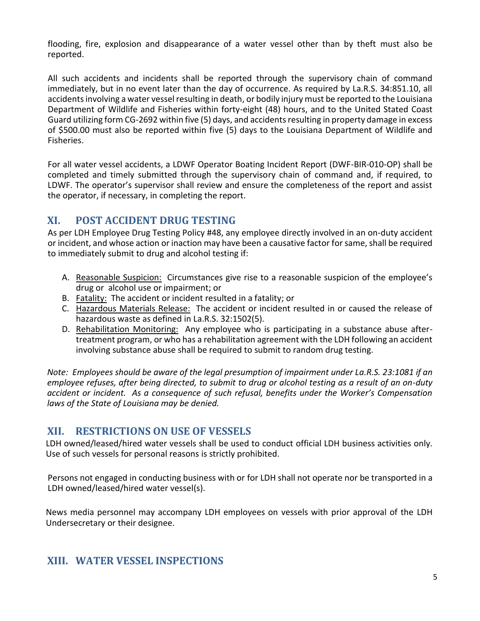flooding, fire, explosion and disappearance of a water vessel other than by theft must also be reported.

All such accidents and incidents shall be reported through the supervisory chain of command immediately, but in no event later than the day of occurrence. As required by La.R.S. 34:851.10, all accidents involving a water vessel resulting in death, or bodily injury must be reported to the Louisiana Department of Wildlife and Fisheries within forty-eight (48) hours, and to the United Stated Coast Guard utilizing form CG-2692 within five (5) days, and accidents resulting in property damage in excess of \$500.00 must also be reported within five (5) days to the Louisiana Department of Wildlife and Fisheries.

For all water vessel accidents, a LDWF Operator Boating Incident Report (DWF-BIR-010-OP) shall be completed and timely submitted through the supervisory chain of command and, if required, to LDWF. The operator's supervisor shall review and ensure the completeness of the report and assist the operator, if necessary, in completing the report.

## **XI. POST ACCIDENT DRUG TESTING**

As per LDH Employee Drug Testing Policy #48, any employee directly involved in an on-duty accident or incident, and whose action or inaction may have been a causative factor for same, shall be required to immediately submit to drug and alcohol testing if:

- A. Reasonable Suspicion: Circumstances give rise to a reasonable suspicion of the employee's drug or alcohol use or impairment; or
- B. Fatality: The accident or incident resulted in a fatality; or
- C. Hazardous Materials Release: The accident or incident resulted in or caused the release of hazardous waste as defined in La.R.S. 32:1502(5).
- D. Rehabilitation Monitoring: Any employee who is participating in a substance abuse aftertreatment program, or who has a rehabilitation agreement with the LDH following an accident involving substance abuse shall be required to submit to random drug testing.

*Note: Employees should be aware of the legal presumption of impairment under La.R.S. 23:1081 if an employee refuses, after being directed, to submit to drug or alcohol testing as a result of an on-duty accident or incident. As a consequence of such refusal, benefits under the Worker's Compensation laws of the State of Louisiana may be denied.*

## **XII. RESTRICTIONS ON USE OF VESSELS**

LDH owned/leased/hired water vessels shall be used to conduct official LDH business activities only. Use of such vessels for personal reasons is strictly prohibited.

Persons not engaged in conducting business with or for LDH shall not operate nor be transported in a LDH owned/leased/hired water vessel(s).

News media personnel may accompany LDH employees on vessels with prior approval of the LDH Undersecretary or their designee.

## **XIII. WATER VESSEL INSPECTIONS**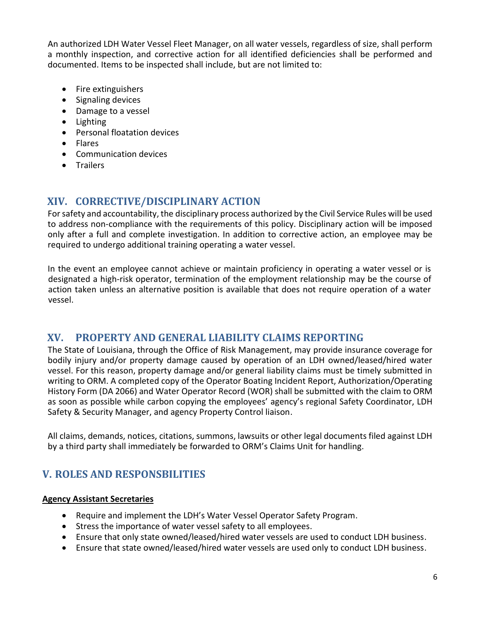An authorized LDH Water Vessel Fleet Manager, on all water vessels, regardless of size, shall perform a monthly inspection, and corrective action for all identified deficiencies shall be performed and documented. Items to be inspected shall include, but are not limited to:

- Fire extinguishers
- Signaling devices
- Damage to a vessel
- Lighting
- Personal floatation devices
- Flares
- Communication devices
- Trailers

## **XIV. CORRECTIVE/DISCIPLINARY ACTION**

For safety and accountability, the disciplinary process authorized by the Civil Service Rules will be used to address non-compliance with the requirements of this policy. Disciplinary action will be imposed only after a full and complete investigation. In addition to corrective action, an employee may be required to undergo additional training operating a water vessel.

In the event an employee cannot achieve or maintain proficiency in operating a water vessel or is designated a high-risk operator, termination of the employment relationship may be the course of action taken unless an alternative position is available that does not require operation of a water vessel.

## **XV. PROPERTY AND GENERAL LIABILITY CLAIMS REPORTING**

The State of Louisiana, through the Office of Risk Management, may provide insurance coverage for bodily injury and/or property damage caused by operation of an LDH owned/leased/hired water vessel. For this reason, property damage and/or general liability claims must be timely submitted in writing to ORM. A completed copy of the Operator Boating Incident Report, Authorization/Operating History Form (DA 2066) and Water Operator Record (WOR) shall be submitted with the claim to ORM as soon as possible while carbon copying the employees' agency's regional Safety Coordinator, LDH Safety & Security Manager, and agency Property Control liaison.

All claims, demands, notices, citations, summons, lawsuits or other legal documents filed against LDH by a third party shall immediately be forwarded to ORM's Claims Unit for handling.

# **V. ROLES AND RESPONSBILITIES**

#### **Agency Assistant Secretaries**

- Require and implement the LDH's Water Vessel Operator Safety Program.
- Stress the importance of water vessel safety to all employees.
- Ensure that only state owned/leased/hired water vessels are used to conduct LDH business.
- Ensure that state owned/leased/hired water vessels are used only to conduct LDH business.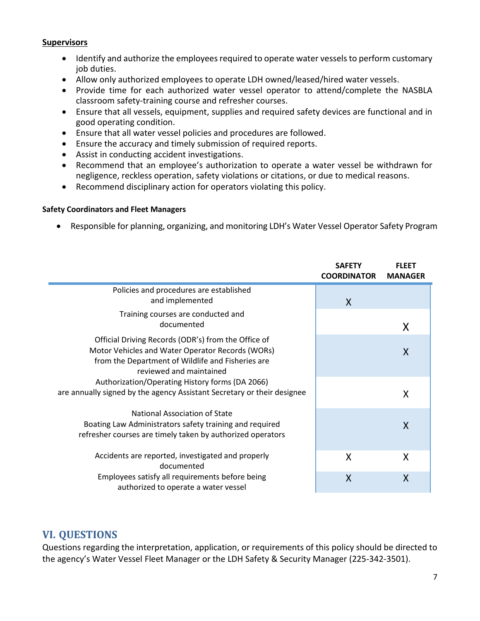#### **Supervisors**

÷

- Identify and authorize the employees required to operate water vessels to perform customary job duties.
- Allow only authorized employees to operate LDH owned/leased/hired water vessels.
- Provide time for each authorized water vessel operator to attend/complete the NASBLA classroom safety-training course and refresher courses.
- Ensure that all vessels, equipment, supplies and required safety devices are functional and in good operating condition.
- Ensure that all water vessel policies and procedures are followed.
- Ensure the accuracy and timely submission of required reports.
- Assist in conducting accident investigations.
- Recommend that an employee's authorization to operate a water vessel be withdrawn for negligence, reckless operation, safety violations or citations, or due to medical reasons.
- Recommend disciplinary action for operators violating this policy.

#### **Safety Coordinators and Fleet Managers**

• Responsible for planning, organizing, and monitoring LDH's Water Vessel Operator Safety Program

|                                                                                                                            | <b>SAFETY</b><br><b>COORDINATOR</b> | <b>FLEET</b><br><b>MANAGER</b> |
|----------------------------------------------------------------------------------------------------------------------------|-------------------------------------|--------------------------------|
| Policies and procedures are established                                                                                    |                                     |                                |
| and implemented                                                                                                            | X                                   |                                |
| Training courses are conducted and                                                                                         |                                     |                                |
| documented                                                                                                                 |                                     | X                              |
| Official Driving Records (ODR's) from the Office of                                                                        |                                     |                                |
| Motor Vehicles and Water Operator Records (WORs)                                                                           |                                     | X                              |
| from the Department of Wildlife and Fisheries are                                                                          |                                     |                                |
| reviewed and maintained                                                                                                    |                                     |                                |
| Authorization/Operating History forms (DA 2066)<br>are annually signed by the agency Assistant Secretary or their designee |                                     |                                |
|                                                                                                                            |                                     | X                              |
| National Association of State                                                                                              |                                     |                                |
| Boating Law Administrators safety training and required                                                                    |                                     | X                              |
| refresher courses are timely taken by authorized operators                                                                 |                                     |                                |
| Accidents are reported, investigated and properly                                                                          | X                                   | X                              |
| documented                                                                                                                 |                                     |                                |
| Employees satisfy all requirements before being<br>authorized to operate a water vessel                                    | X                                   | X                              |

#### **VI. QUESTIONS**

Questions regarding the interpretation, application, or requirements of this policy should be directed to the agency's Water Vessel Fleet Manager or the LDH Safety & Security Manager (225-342-3501).